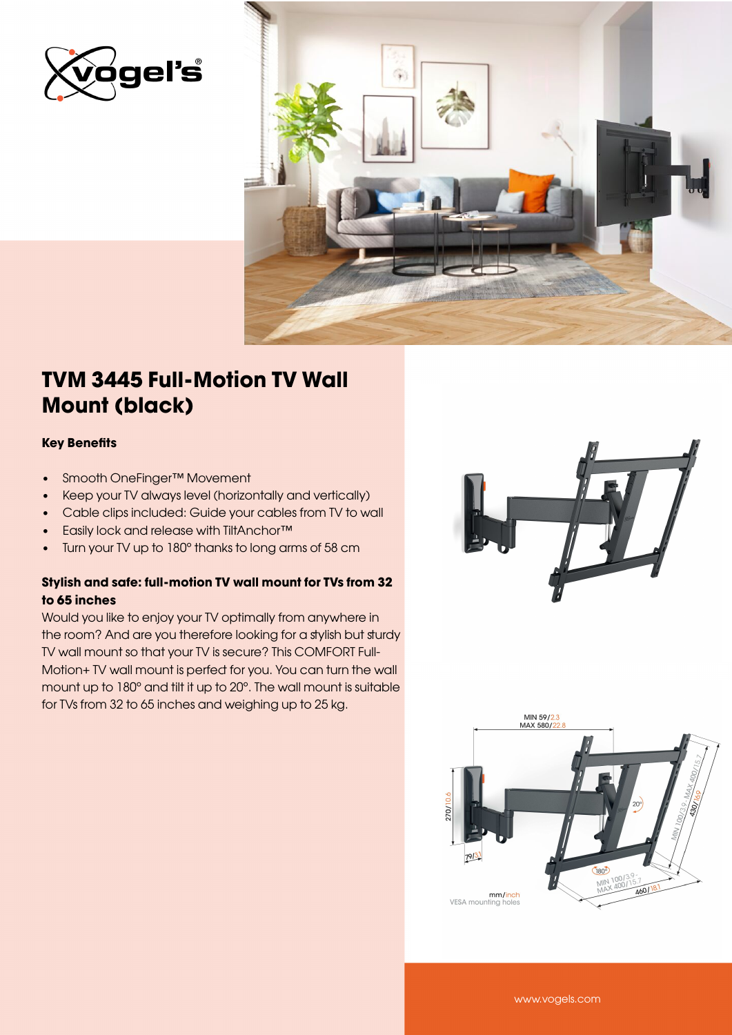



## TVM 3445 Full-Motion TV Wall Mount (black)

#### Key Benefits

- Smooth OneFinger™ Movement
- Keep your TV always level (horizontally and vertically)
- Cable clips included: Guide your cables from TV to wall
- Easily lock and release with TiltAnchor™
- Turn your TV up to 180° thanks to long arms of 58 cm

### Stylish and safe: full-motion TV wall mount for TVs from 32 to 65 inches

Would you like to enjoy your TV optimally from anywhere in the room? And are you therefore looking for a stylish but sturdy TV wall mount so that your TV is secure? This COMFORT Full-Motion+ TV wall mount is perfect for you. You can turn the wall mount up to 180° and tilt it up to 20°. The wall mount is suitable for TVs from 32 to 65 inches and weighing up to 25 kg.